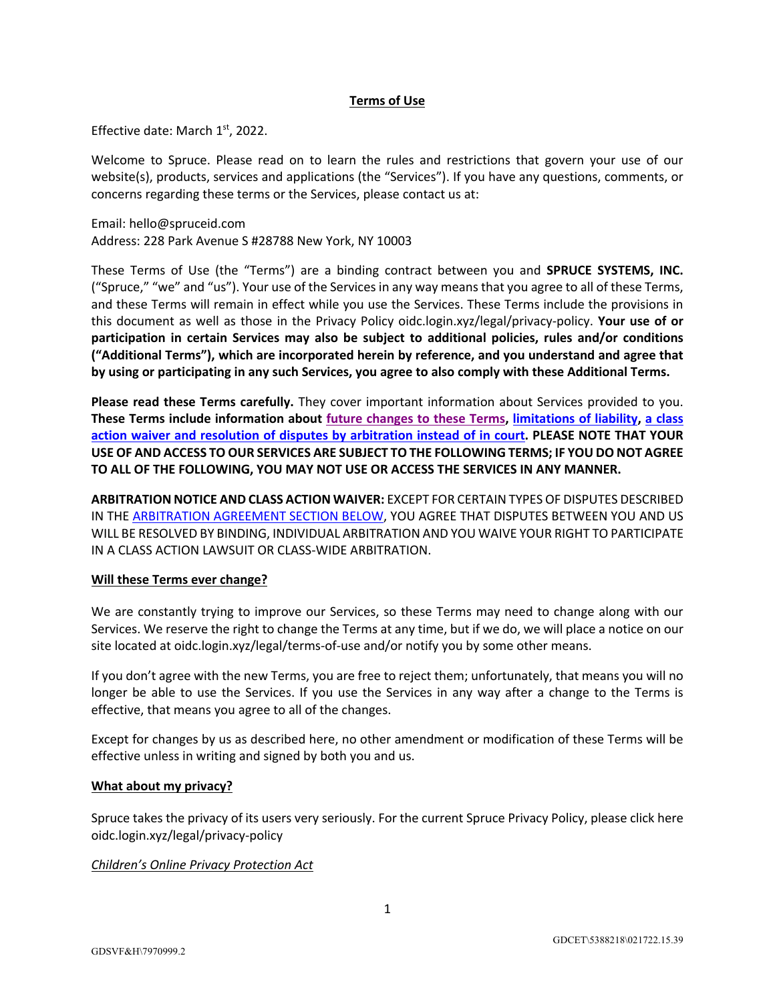# **Terms of Use**

Effective date: March  $1<sup>st</sup>$ , 2022.

Welcome to Spruce. Please read on to learn the rules and restrictions that govern your use of our website(s), products, services and applications (the "Services"). If you have any questions, comments, or concerns regarding these terms or the Services, please contact us at:

Email: hello@spruceid.com Address: 228 Park Avenue S #28788 New York, NY 10003

These Terms of Use (the "Terms") are a binding contract between you and **SPRUCE SYSTEMS, INC.** ("Spruce," "we" and "us"). Your use of the Services in any way means that you agree to all of these Terms, and these Terms will remain in effect while you use the Services. These Terms include the provisions in this document as well as those in the Privacy Policy oidc.login.xyz/legal/privacy-policy. **Your use of or participation in certain Services may also be subject to additional policies, rules and/or conditions ("Additional Terms"), which are incorporated herein by reference, and you understand and agree that by using or participating in any such Services, you agree to also comply with these Additional Terms.** 

**Please read these Terms carefully.** They cover important information about Services provided to you. **These Terms include information about future changes to these Terms, limitations of liability, a class action waiver and resolution of disputes by arbitration instead of in court. PLEASE NOTE THAT YOUR USE OF AND ACCESS TO OUR SERVICES ARE SUBJECT TO THE FOLLOWING TERMS; IF YOU DO NOT AGREE TO ALL OF THE FOLLOWING, YOU MAY NOT USE OR ACCESS THE SERVICES IN ANY MANNER.**

**ARBITRATION NOTICE AND CLASS ACTION WAIVER:** EXCEPT FOR CERTAIN TYPES OF DISPUTES DESCRIBED IN THE ARBITRATION AGREEMENT SECTION BELOW, YOU AGREE THAT DISPUTES BETWEEN YOU AND US WILL BE RESOLVED BY BINDING, INDIVIDUAL ARBITRATION AND YOU WAIVE YOUR RIGHT TO PARTICIPATE IN A CLASS ACTION LAWSUIT OR CLASS-WIDE ARBITRATION.

#### **Will these Terms ever change?**

We are constantly trying to improve our Services, so these Terms may need to change along with our Services. We reserve the right to change the Terms at any time, but if we do, we will place a notice on our site located at oidc.login.xyz/legal/terms-of-use and/or notify you by some other means.

If you don't agree with the new Terms, you are free to reject them; unfortunately, that means you will no longer be able to use the Services. If you use the Services in any way after a change to the Terms is effective, that means you agree to all of the changes.

Except for changes by us as described here, no other amendment or modification of these Terms will be effective unless in writing and signed by both you and us.

#### **What about my privacy?**

Spruce takes the privacy of its users very seriously. For the current Spruce Privacy Policy, please click here oidc.login.xyz/legal/privacy-policy

*Children's Online Privacy Protection Act*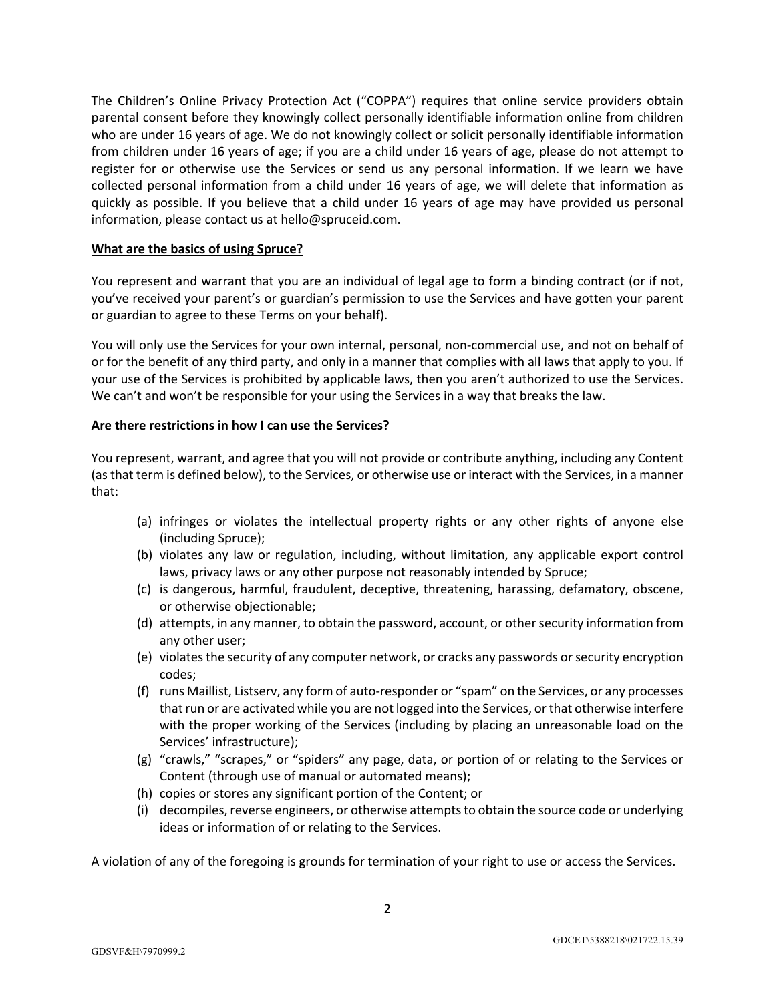The Children's Online Privacy Protection Act ("COPPA") requires that online service providers obtain parental consent before they knowingly collect personally identifiable information online from children who are under 16 years of age. We do not knowingly collect or solicit personally identifiable information from children under 16 years of age; if you are a child under 16 years of age, please do not attempt to register for or otherwise use the Services or send us any personal information. If we learn we have collected personal information from a child under 16 years of age, we will delete that information as quickly as possible. If you believe that a child under 16 years of age may have provided us personal information, please contact us at hello@spruceid.com.

#### **What are the basics of using Spruce?**

You represent and warrant that you are an individual of legal age to form a binding contract (or if not, you've received your parent's or guardian's permission to use the Services and have gotten your parent or guardian to agree to these Terms on your behalf).

You will only use the Services for your own internal, personal, non-commercial use, and not on behalf of or for the benefit of any third party, and only in a manner that complies with all laws that apply to you. If your use of the Services is prohibited by applicable laws, then you aren't authorized to use the Services. We can't and won't be responsible for your using the Services in a way that breaks the law.

# **Are there restrictions in how I can use the Services?**

You represent, warrant, and agree that you will not provide or contribute anything, including any Content (as that term is defined below), to the Services, or otherwise use or interact with the Services, in a manner that:

- (a) infringes or violates the intellectual property rights or any other rights of anyone else (including Spruce);
- (b) violates any law or regulation, including, without limitation, any applicable export control laws, privacy laws or any other purpose not reasonably intended by Spruce;
- (c) is dangerous, harmful, fraudulent, deceptive, threatening, harassing, defamatory, obscene, or otherwise objectionable;
- (d) attempts, in any manner, to obtain the password, account, or other security information from any other user;
- (e) violates the security of any computer network, or cracks any passwords or security encryption codes;
- (f) runs Maillist, Listserv, any form of auto-responder or "spam" on the Services, or any processes that run or are activated while you are not logged into the Services, or that otherwise interfere with the proper working of the Services (including by placing an unreasonable load on the Services' infrastructure);
- (g) "crawls," "scrapes," or "spiders" any page, data, or portion of or relating to the Services or Content (through use of manual or automated means);
- (h) copies or stores any significant portion of the Content; or
- (i) decompiles, reverse engineers, or otherwise attempts to obtain the source code or underlying ideas or information of or relating to the Services.

A violation of any of the foregoing is grounds for termination of your right to use or access the Services.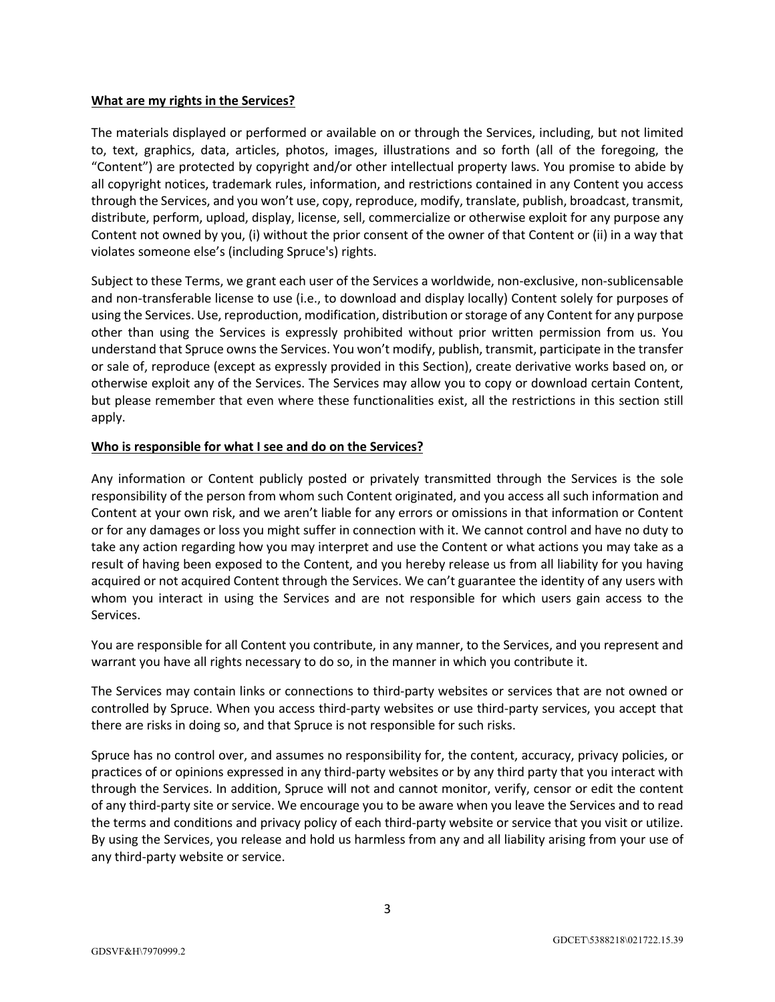### **What are my rights in the Services?**

The materials displayed or performed or available on or through the Services, including, but not limited to, text, graphics, data, articles, photos, images, illustrations and so forth (all of the foregoing, the "Content") are protected by copyright and/or other intellectual property laws. You promise to abide by all copyright notices, trademark rules, information, and restrictions contained in any Content you access through the Services, and you won't use, copy, reproduce, modify, translate, publish, broadcast, transmit, distribute, perform, upload, display, license, sell, commercialize or otherwise exploit for any purpose any Content not owned by you, (i) without the prior consent of the owner of that Content or (ii) in a way that violates someone else's (including Spruce's) rights.

Subject to these Terms, we grant each user of the Services a worldwide, non-exclusive, non-sublicensable and non-transferable license to use (i.e., to download and display locally) Content solely for purposes of using the Services. Use, reproduction, modification, distribution or storage of any Content for any purpose other than using the Services is expressly prohibited without prior written permission from us. You understand that Spruce owns the Services. You won't modify, publish, transmit, participate in the transfer or sale of, reproduce (except as expressly provided in this Section), create derivative works based on, or otherwise exploit any of the Services. The Services may allow you to copy or download certain Content, but please remember that even where these functionalities exist, all the restrictions in this section still apply.

# **Who is responsible for what I see and do on the Services?**

Any information or Content publicly posted or privately transmitted through the Services is the sole responsibility of the person from whom such Content originated, and you access all such information and Content at your own risk, and we aren't liable for any errors or omissions in that information or Content or for any damages or loss you might suffer in connection with it. We cannot control and have no duty to take any action regarding how you may interpret and use the Content or what actions you may take as a result of having been exposed to the Content, and you hereby release us from all liability for you having acquired or not acquired Content through the Services. We can't guarantee the identity of any users with whom you interact in using the Services and are not responsible for which users gain access to the Services.

You are responsible for all Content you contribute, in any manner, to the Services, and you represent and warrant you have all rights necessary to do so, in the manner in which you contribute it.

The Services may contain links or connections to third-party websites or services that are not owned or controlled by Spruce. When you access third-party websites or use third-party services, you accept that there are risks in doing so, and that Spruce is not responsible for such risks.

Spruce has no control over, and assumes no responsibility for, the content, accuracy, privacy policies, or practices of or opinions expressed in any third-party websites or by any third party that you interact with through the Services. In addition, Spruce will not and cannot monitor, verify, censor or edit the content of any third-party site or service. We encourage you to be aware when you leave the Services and to read the terms and conditions and privacy policy of each third-party website or service that you visit or utilize. By using the Services, you release and hold us harmless from any and all liability arising from your use of any third-party website or service.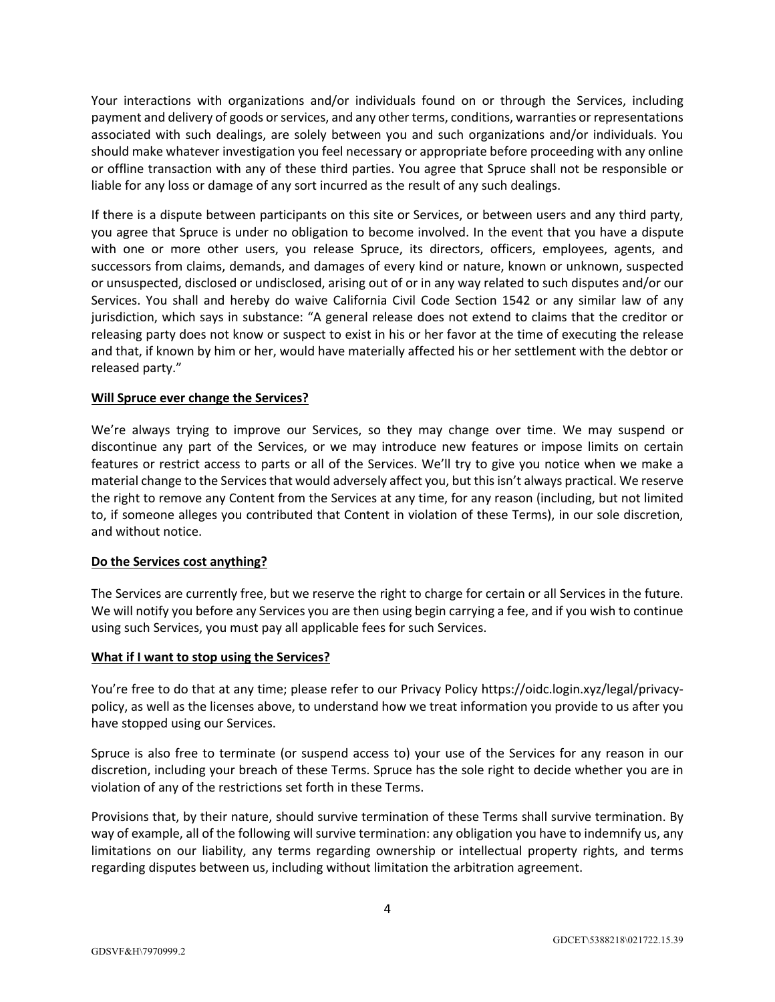Your interactions with organizations and/or individuals found on or through the Services, including payment and delivery of goods or services, and any other terms, conditions, warranties or representations associated with such dealings, are solely between you and such organizations and/or individuals. You should make whatever investigation you feel necessary or appropriate before proceeding with any online or offline transaction with any of these third parties. You agree that Spruce shall not be responsible or liable for any loss or damage of any sort incurred as the result of any such dealings.

If there is a dispute between participants on this site or Services, or between users and any third party, you agree that Spruce is under no obligation to become involved. In the event that you have a dispute with one or more other users, you release Spruce, its directors, officers, employees, agents, and successors from claims, demands, and damages of every kind or nature, known or unknown, suspected or unsuspected, disclosed or undisclosed, arising out of or in any way related to such disputes and/or our Services. You shall and hereby do waive California Civil Code Section 1542 or any similar law of any jurisdiction, which says in substance: "A general release does not extend to claims that the creditor or releasing party does not know or suspect to exist in his or her favor at the time of executing the release and that, if known by him or her, would have materially affected his or her settlement with the debtor or released party."

# **Will Spruce ever change the Services?**

We're always trying to improve our Services, so they may change over time. We may suspend or discontinue any part of the Services, or we may introduce new features or impose limits on certain features or restrict access to parts or all of the Services. We'll try to give you notice when we make a material change to the Services that would adversely affect you, but this isn't always practical. We reserve the right to remove any Content from the Services at any time, for any reason (including, but not limited to, if someone alleges you contributed that Content in violation of these Terms), in our sole discretion, and without notice.

# **Do the Services cost anything?**

The Services are currently free, but we reserve the right to charge for certain or all Services in the future. We will notify you before any Services you are then using begin carrying a fee, and if you wish to continue using such Services, you must pay all applicable fees for such Services.

#### **What if I want to stop using the Services?**

You're free to do that at any time; please refer to our Privacy Policy https://oidc.login.xyz/legal/privacypolicy, as well as the licenses above, to understand how we treat information you provide to us after you have stopped using our Services.

Spruce is also free to terminate (or suspend access to) your use of the Services for any reason in our discretion, including your breach of these Terms. Spruce has the sole right to decide whether you are in violation of any of the restrictions set forth in these Terms.

Provisions that, by their nature, should survive termination of these Terms shall survive termination. By way of example, all of the following will survive termination: any obligation you have to indemnify us, any limitations on our liability, any terms regarding ownership or intellectual property rights, and terms regarding disputes between us, including without limitation the arbitration agreement.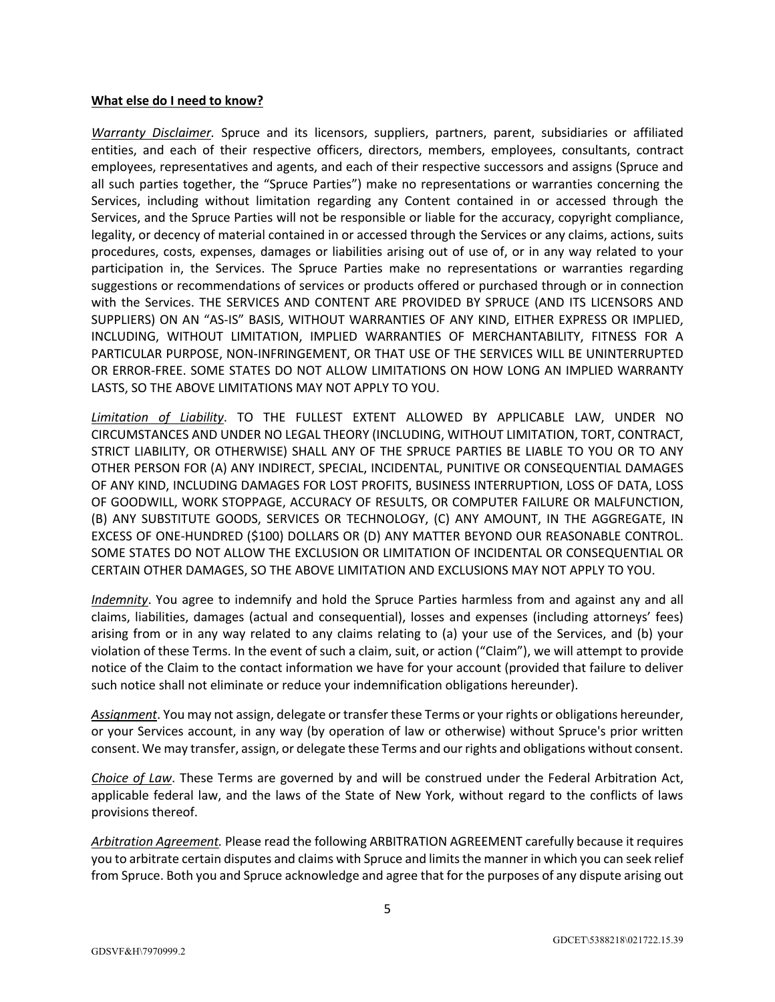#### **What else do I need to know?**

*Warranty Disclaimer.* Spruce and its licensors, suppliers, partners, parent, subsidiaries or affiliated entities, and each of their respective officers, directors, members, employees, consultants, contract employees, representatives and agents, and each of their respective successors and assigns (Spruce and all such parties together, the "Spruce Parties") make no representations or warranties concerning the Services, including without limitation regarding any Content contained in or accessed through the Services, and the Spruce Parties will not be responsible or liable for the accuracy, copyright compliance, legality, or decency of material contained in or accessed through the Services or any claims, actions, suits procedures, costs, expenses, damages or liabilities arising out of use of, or in any way related to your participation in, the Services. The Spruce Parties make no representations or warranties regarding suggestions or recommendations of services or products offered or purchased through or in connection with the Services. THE SERVICES AND CONTENT ARE PROVIDED BY SPRUCE (AND ITS LICENSORS AND SUPPLIERS) ON AN "AS-IS" BASIS, WITHOUT WARRANTIES OF ANY KIND, EITHER EXPRESS OR IMPLIED, INCLUDING, WITHOUT LIMITATION, IMPLIED WARRANTIES OF MERCHANTABILITY, FITNESS FOR A PARTICULAR PURPOSE, NON-INFRINGEMENT, OR THAT USE OF THE SERVICES WILL BE UNINTERRUPTED OR ERROR-FREE. SOME STATES DO NOT ALLOW LIMITATIONS ON HOW LONG AN IMPLIED WARRANTY LASTS, SO THE ABOVE LIMITATIONS MAY NOT APPLY TO YOU.

*Limitation of Liability*. TO THE FULLEST EXTENT ALLOWED BY APPLICABLE LAW, UNDER NO CIRCUMSTANCES AND UNDER NO LEGAL THEORY (INCLUDING, WITHOUT LIMITATION, TORT, CONTRACT, STRICT LIABILITY, OR OTHERWISE) SHALL ANY OF THE SPRUCE PARTIES BE LIABLE TO YOU OR TO ANY OTHER PERSON FOR (A) ANY INDIRECT, SPECIAL, INCIDENTAL, PUNITIVE OR CONSEQUENTIAL DAMAGES OF ANY KIND, INCLUDING DAMAGES FOR LOST PROFITS, BUSINESS INTERRUPTION, LOSS OF DATA, LOSS OF GOODWILL, WORK STOPPAGE, ACCURACY OF RESULTS, OR COMPUTER FAILURE OR MALFUNCTION, (B) ANY SUBSTITUTE GOODS, SERVICES OR TECHNOLOGY, (C) ANY AMOUNT, IN THE AGGREGATE, IN EXCESS OF ONE-HUNDRED (\$100) DOLLARS OR (D) ANY MATTER BEYOND OUR REASONABLE CONTROL. SOME STATES DO NOT ALLOW THE EXCLUSION OR LIMITATION OF INCIDENTAL OR CONSEQUENTIAL OR CERTAIN OTHER DAMAGES, SO THE ABOVE LIMITATION AND EXCLUSIONS MAY NOT APPLY TO YOU.

*Indemnity*. You agree to indemnify and hold the Spruce Parties harmless from and against any and all claims, liabilities, damages (actual and consequential), losses and expenses (including attorneys' fees) arising from or in any way related to any claims relating to (a) your use of the Services, and (b) your violation of these Terms. In the event of such a claim, suit, or action ("Claim"), we will attempt to provide notice of the Claim to the contact information we have for your account (provided that failure to deliver such notice shall not eliminate or reduce your indemnification obligations hereunder).

*Assignment*. You may not assign, delegate or transfer these Terms or your rights or obligations hereunder, or your Services account, in any way (by operation of law or otherwise) without Spruce's prior written consent. We may transfer, assign, or delegate these Terms and our rights and obligations without consent.

*Choice of Law*. These Terms are governed by and will be construed under the Federal Arbitration Act, applicable federal law, and the laws of the State of New York, without regard to the conflicts of laws provisions thereof.

*Arbitration Agreement.* Please read the following ARBITRATION AGREEMENT carefully because it requires you to arbitrate certain disputes and claims with Spruce and limits the manner in which you can seek relief from Spruce. Both you and Spruce acknowledge and agree that for the purposes of any dispute arising out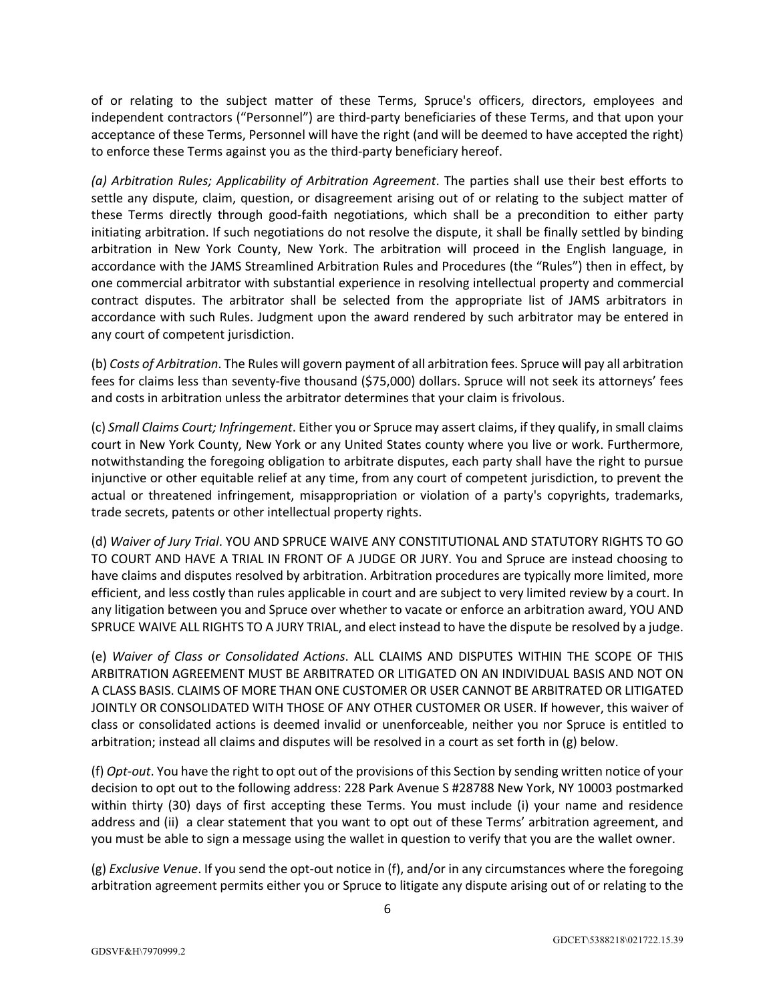of or relating to the subject matter of these Terms, Spruce's officers, directors, employees and independent contractors ("Personnel") are third-party beneficiaries of these Terms, and that upon your acceptance of these Terms, Personnel will have the right (and will be deemed to have accepted the right) to enforce these Terms against you as the third-party beneficiary hereof.

*(a) Arbitration Rules; Applicability of Arbitration Agreement*. The parties shall use their best efforts to settle any dispute, claim, question, or disagreement arising out of or relating to the subject matter of these Terms directly through good-faith negotiations, which shall be a precondition to either party initiating arbitration. If such negotiations do not resolve the dispute, it shall be finally settled by binding arbitration in New York County, New York. The arbitration will proceed in the English language, in accordance with the JAMS Streamlined Arbitration Rules and Procedures (the "Rules") then in effect, by one commercial arbitrator with substantial experience in resolving intellectual property and commercial contract disputes. The arbitrator shall be selected from the appropriate list of JAMS arbitrators in accordance with such Rules. Judgment upon the award rendered by such arbitrator may be entered in any court of competent jurisdiction.

(b) *Costs of Arbitration*. The Rules will govern payment of all arbitration fees. Spruce will pay all arbitration fees for claims less than seventy-five thousand (\$75,000) dollars. Spruce will not seek its attorneys' fees and costs in arbitration unless the arbitrator determines that your claim is frivolous.

(c) *Small Claims Court; Infringement*. Either you or Spruce may assert claims, if they qualify, in small claims court in New York County, New York or any United States county where you live or work. Furthermore, notwithstanding the foregoing obligation to arbitrate disputes, each party shall have the right to pursue injunctive or other equitable relief at any time, from any court of competent jurisdiction, to prevent the actual or threatened infringement, misappropriation or violation of a party's copyrights, trademarks, trade secrets, patents or other intellectual property rights.

(d) *Waiver of Jury Trial*. YOU AND SPRUCE WAIVE ANY CONSTITUTIONAL AND STATUTORY RIGHTS TO GO TO COURT AND HAVE A TRIAL IN FRONT OF A JUDGE OR JURY. You and Spruce are instead choosing to have claims and disputes resolved by arbitration. Arbitration procedures are typically more limited, more efficient, and less costly than rules applicable in court and are subject to very limited review by a court. In any litigation between you and Spruce over whether to vacate or enforce an arbitration award, YOU AND SPRUCE WAIVE ALL RIGHTS TO A JURY TRIAL, and elect instead to have the dispute be resolved by a judge.

(e) *Waiver of Class or Consolidated Actions*. ALL CLAIMS AND DISPUTES WITHIN THE SCOPE OF THIS ARBITRATION AGREEMENT MUST BE ARBITRATED OR LITIGATED ON AN INDIVIDUAL BASIS AND NOT ON A CLASS BASIS. CLAIMS OF MORE THAN ONE CUSTOMER OR USER CANNOT BE ARBITRATED OR LITIGATED JOINTLY OR CONSOLIDATED WITH THOSE OF ANY OTHER CUSTOMER OR USER. If however, this waiver of class or consolidated actions is deemed invalid or unenforceable, neither you nor Spruce is entitled to arbitration; instead all claims and disputes will be resolved in a court as set forth in (g) below.

(f) *Opt-out*. You have the right to opt out of the provisions of this Section by sending written notice of your decision to opt out to the following address: 228 Park Avenue S #28788 New York, NY 10003 postmarked within thirty (30) days of first accepting these Terms. You must include (i) your name and residence address and (ii) a clear statement that you want to opt out of these Terms' arbitration agreement, and you must be able to sign a message using the wallet in question to verify that you are the wallet owner.

(g) *Exclusive Venue*. If you send the opt-out notice in (f), and/or in any circumstances where the foregoing arbitration agreement permits either you or Spruce to litigate any dispute arising out of or relating to the